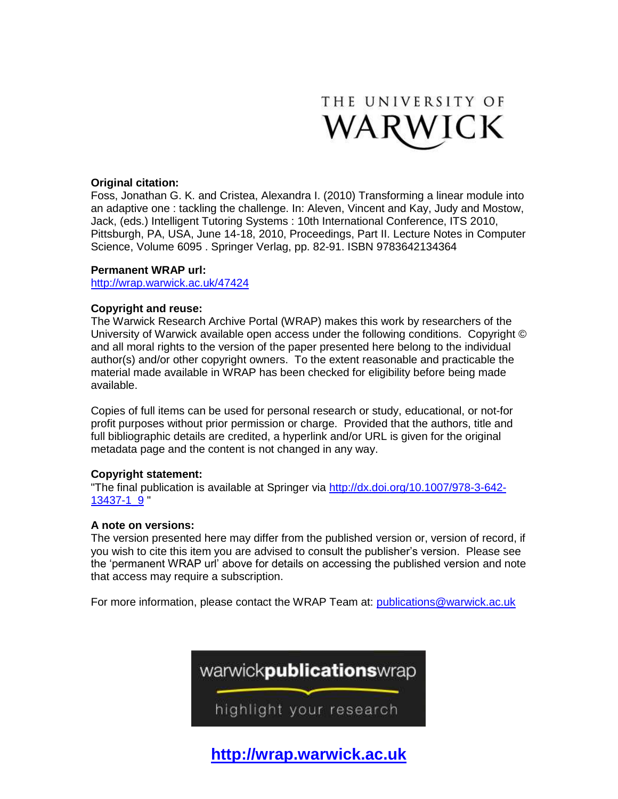

## **Original citation:**

Foss, Jonathan G. K. and Cristea, Alexandra I. (2010) Transforming a linear module into an adaptive one : tackling the challenge. In: Aleven, Vincent and Kay, Judy and Mostow, Jack, (eds.) Intelligent Tutoring Systems : 10th International Conference, ITS 2010, Pittsburgh, PA, USA, June 14-18, 2010, Proceedings, Part II. Lecture Notes in Computer Science, Volume 6095 . Springer Verlag, pp. 82-91. ISBN 9783642134364

# **Permanent WRAP url:**

<http://wrap.warwick.ac.uk/47424>

### **Copyright and reuse:**

The Warwick Research Archive Portal (WRAP) makes this work by researchers of the University of Warwick available open access under the following conditions. Copyright © and all moral rights to the version of the paper presented here belong to the individual author(s) and/or other copyright owners. To the extent reasonable and practicable the material made available in WRAP has been checked for eligibility before being made available.

Copies of full items can be used for personal research or study, educational, or not-for profit purposes without prior permission or charge. Provided that the authors, title and full bibliographic details are credited, a hyperlink and/or URL is given for the original metadata page and the content is not changed in any way.

### **Copyright statement:**

"The final publication is available at Springer via [http://dx.doi.org/10.1007/978-3-642-](http://dx.doi.org/10.1007/978-3-642-13437-1_9) [13437-1\\_9](http://dx.doi.org/10.1007/978-3-642-13437-1_9) "

### **A note on versions:**

The version presented here may differ from the published version or, version of record, if you wish to cite this item you are advised to consult the publisher's version. Please see the 'permanent WRAP url' above for details on accessing the published version and note that access may require a subscription.

For more information, please contact the WRAP Team at: [publications@warwick.ac.uk](mailto:publications@warwick.ac.uk)



**[http://wrap.warwick.ac.uk](http://wrap.warwick.ac.uk/)**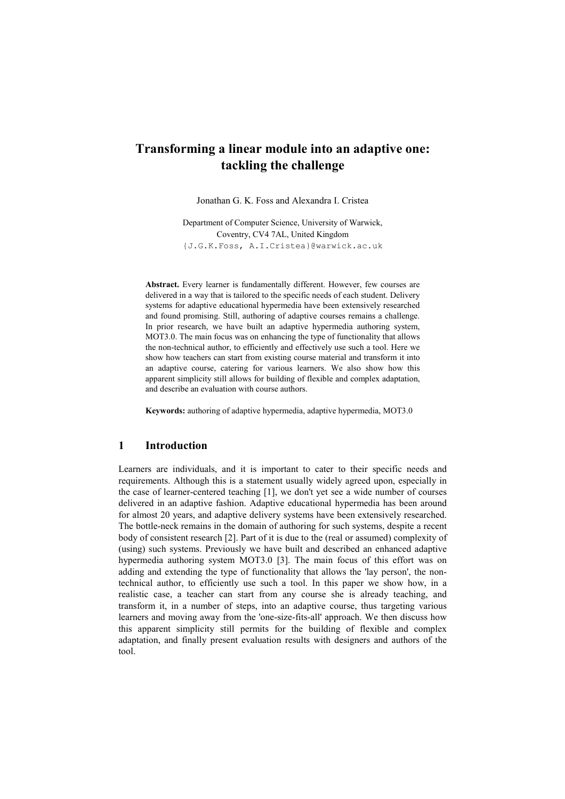# Transforming a linear module into an adaptive one: tackling the challenge

Jonathan G. K. Foss and Alexandra I. Cristea

Department of Computer Science, University of Warwick, Coventry, CV4 7AL, United Kingdom {J.G.K.Foss, A.I.Cristea}@warwick.ac.uk

Abstract. Every learner is fundamentally different. However, few courses are delivered in a way that is tailored to the specific needs of each student. Delivery systems for adaptive educational hypermedia have been extensively researched and found promising. Still, authoring of adaptive courses remains a challenge. In prior research, we have built an adaptive hypermedia authoring system, MOT3.0. The main focus was on enhancing the type of functionality that allows the non-technical author, to efficiently and effectively use such a tool. Here we show how teachers can start from existing course material and transform it into an adaptive course, catering for various learners. We also show how this apparent simplicity still allows for building of flexible and complex adaptation, and describe an evaluation with course authors.

Keywords: authoring of adaptive hypermedia, adaptive hypermedia, MOT3.0

### 1 Introduction

Learners are individuals, and it is important to cater to their specific needs and requirements. Although this is a statement usually widely agreed upon, especially in the case of learner-centered teaching [1], we don't yet see a wide number of courses delivered in an adaptive fashion. Adaptive educational hypermedia has been around for almost 20 years, and adaptive delivery systems have been extensively researched. The bottle-neck remains in the domain of authoring for such systems, despite a recent body of consistent research [2]. Part of it is due to the (real or assumed) complexity of (using) such systems. Previously we have built and described an enhanced adaptive hypermedia authoring system MOT3.0 [3]. The main focus of this effort was on adding and extending the type of functionality that allows the 'lay person', the nontechnical author, to efficiently use such a tool. In this paper we show how, in a realistic case, a teacher can start from any course she is already teaching, and transform it, in a number of steps, into an adaptive course, thus targeting various learners and moving away from the 'one-size-fits-all' approach. We then discuss how this apparent simplicity still permits for the building of flexible and complex adaptation, and finally present evaluation results with designers and authors of the tool.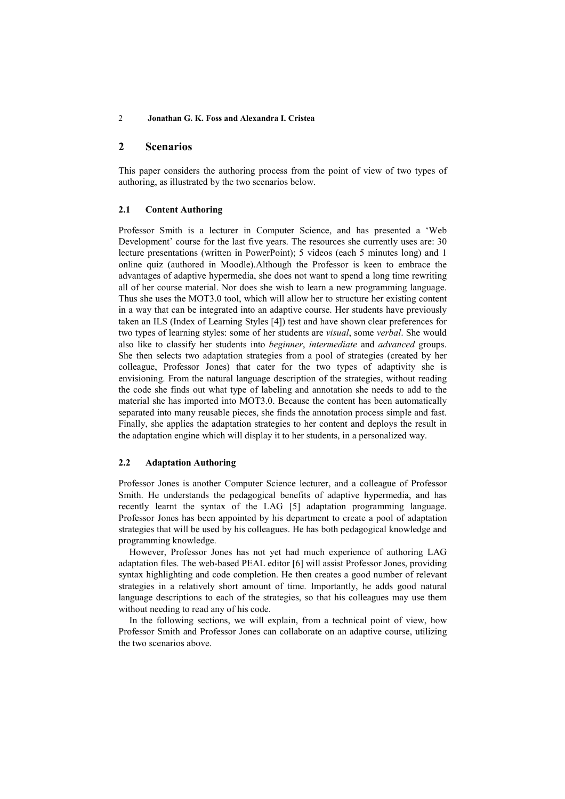### 2 Scenarios

This paper considers the authoring process from the point of view of two types of authoring, as illustrated by the two scenarios below.

#### 2.1 Content Authoring

Professor Smith is a lecturer in Computer Science, and has presented a 'Web Development' course for the last five years. The resources she currently uses are: 30 lecture presentations (written in PowerPoint); 5 videos (each 5 minutes long) and 1 online quiz (authored in Moodle).Although the Professor is keen to embrace the advantages of adaptive hypermedia, she does not want to spend a long time rewriting all of her course material. Nor does she wish to learn a new programming language. Thus she uses the MOT3.0 tool, which will allow her to structure her existing content in a way that can be integrated into an adaptive course. Her students have previously taken an ILS (Index of Learning Styles [4]) test and have shown clear preferences for two types of learning styles: some of her students are *visual*, some *verbal*. She would also like to classify her students into beginner, intermediate and advanced groups. She then selects two adaptation strategies from a pool of strategies (created by her colleague, Professor Jones) that cater for the two types of adaptivity she is envisioning. From the natural language description of the strategies, without reading the code she finds out what type of labeling and annotation she needs to add to the material she has imported into MOT3.0. Because the content has been automatically separated into many reusable pieces, she finds the annotation process simple and fast. Finally, she applies the adaptation strategies to her content and deploys the result in the adaptation engine which will display it to her students, in a personalized way.

### 2.2 Adaptation Authoring

Professor Jones is another Computer Science lecturer, and a colleague of Professor Smith. He understands the pedagogical benefits of adaptive hypermedia, and has recently learnt the syntax of the LAG [5] adaptation programming language. Professor Jones has been appointed by his department to create a pool of adaptation strategies that will be used by his colleagues. He has both pedagogical knowledge and programming knowledge.

However, Professor Jones has not yet had much experience of authoring LAG adaptation files. The web-based PEAL editor [6] will assist Professor Jones, providing syntax highlighting and code completion. He then creates a good number of relevant strategies in a relatively short amount of time. Importantly, he adds good natural language descriptions to each of the strategies, so that his colleagues may use them without needing to read any of his code.

In the following sections, we will explain, from a technical point of view, how Professor Smith and Professor Jones can collaborate on an adaptive course, utilizing the two scenarios above.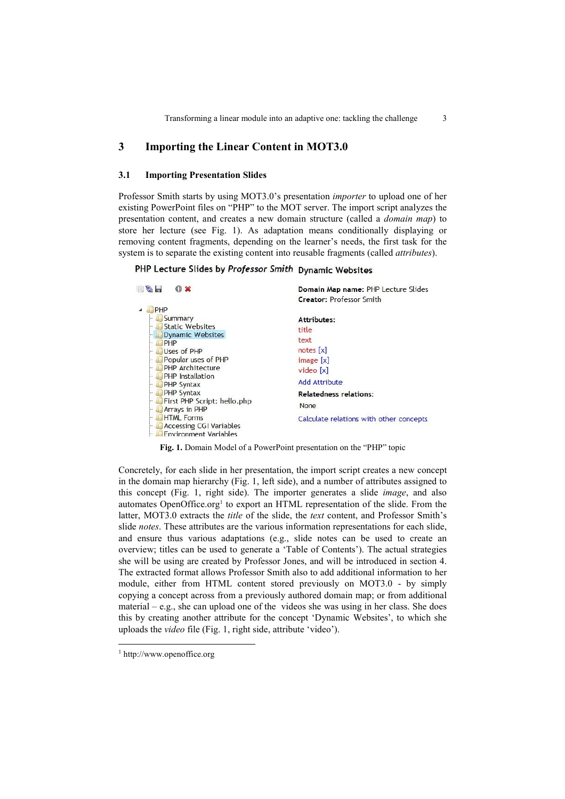### 3 Importing the Linear Content in MOT3.0

#### 3.1 Importing Presentation Slides

Professor Smith starts by using MOT3.0's presentation importer to upload one of her existing PowerPoint files on "PHP" to the MOT server. The import script analyzes the presentation content, and creates a new domain structure (called a domain map) to store her lecture (see Fig. 1). As adaptation means conditionally displaying or removing content fragments, depending on the learner's needs, the first task for the system is to separate the existing content into reusable fragments (called *attributes*).

# PHP Lecture Slides by Professor Smith Dynamic Websites

| $\sim$<br>$\bullet x$                          | Domain Map name: PHP Lecture Slides     |
|------------------------------------------------|-----------------------------------------|
|                                                | <b>Creator: Professor Smith</b>         |
| PHP                                            |                                         |
| Summary                                        | Attributes:                             |
| <b>Static Websites</b>                         | title                                   |
| <b>Dynamic Websites</b>                        | text                                    |
| PHP                                            | notes[x]                                |
| Uses of PHP                                    |                                         |
| Popular uses of PHP<br><b>PHP Architecture</b> | image[x]                                |
| <b>PHP</b> Installation                        | video [x]                               |
| PHP Syntax                                     | <b>Add Attribute</b>                    |
| <b>PHP Syntax</b><br>ļ.,                       | <b>Relatedness relations:</b>           |
| First PHP Script: hello.php                    | None                                    |
| <b>Arrays in PHP</b>                           |                                         |
| <b>HTML Forms</b>                              | Calculate relations with other concepts |
| <b>Accessing CGI Variables</b>                 |                                         |
| <b>Environment Variables</b>                   |                                         |

Fig. 1. Domain Model of a PowerPoint presentation on the "PHP" topic

Concretely, for each slide in her presentation, the import script creates a new concept in the domain map hierarchy (Fig. 1, left side), and a number of attributes assigned to this concept (Fig. 1, right side). The importer generates a slide image, and also automates OpenOffice.org<sup>1</sup> to export an HTML representation of the slide. From the latter, MOT3.0 extracts the *title* of the slide, the *text* content, and Professor Smith's slide *notes*. These attributes are the various information representations for each slide, and ensure thus various adaptations (e.g., slide notes can be used to create an overview; titles can be used to generate a 'Table of Contents'). The actual strategies she will be using are created by Professor Jones, and will be introduced in section 4. The extracted format allows Professor Smith also to add additional information to her module, either from HTML content stored previously on MOT3.0 - by simply copying a concept across from a previously authored domain map; or from additional material – e.g., she can upload one of the videos she was using in her class. She does this by creating another attribute for the concept 'Dynamic Websites', to which she uploads the video file (Fig. 1, right side, attribute 'video').

-

<sup>1</sup> http://www.openoffice.org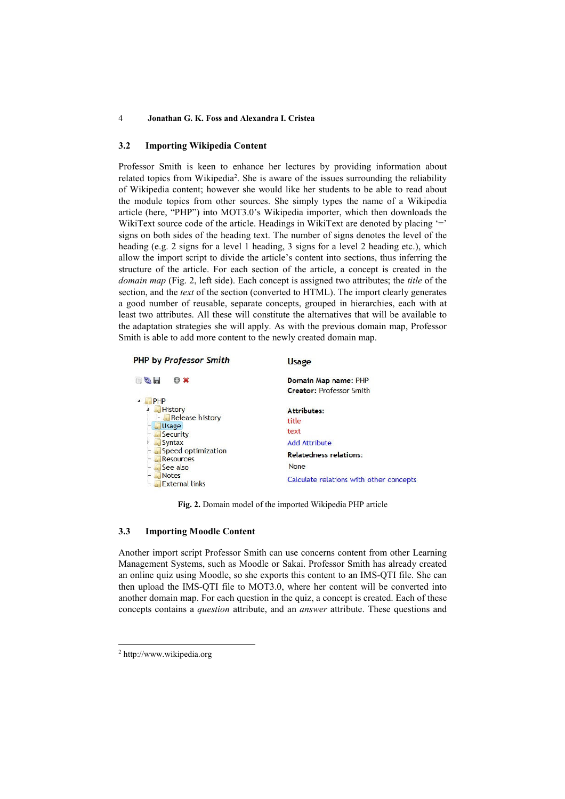#### 3.2 Importing Wikipedia Content

Professor Smith is keen to enhance her lectures by providing information about related topics from Wikipedia<sup>2</sup> . She is aware of the issues surrounding the reliability of Wikipedia content; however she would like her students to be able to read about the module topics from other sources. She simply types the name of a Wikipedia article (here, "PHP") into MOT3.0's Wikipedia importer, which then downloads the WikiText source code of the article. Headings in WikiText are denoted by placing  $=$ signs on both sides of the heading text. The number of signs denotes the level of the heading (e.g. 2 signs for a level 1 heading, 3 signs for a level 2 heading etc.), which allow the import script to divide the article's content into sections, thus inferring the structure of the article. For each section of the article, a concept is created in the domain map (Fig. 2, left side). Each concept is assigned two attributes; the *title* of the section, and the text of the section (converted to HTML). The import clearly generates a good number of reusable, separate concepts, grouped in hierarchies, each with at least two attributes. All these will constitute the alternatives that will be available to the adaptation strategies she will apply. As with the previous domain map, Professor Smith is able to add more content to the newly created domain map.

| <b>PHP by Professor Smith</b>          | <b>Usage</b>                            |
|----------------------------------------|-----------------------------------------|
| $\blacksquare$<br>O X                  | Domain Map name: PHP                    |
|                                        | <b>Creator: Professor Smith</b>         |
| PHP                                    |                                         |
| <b>History</b>                         | Attributes:                             |
| Release history                        | title                                   |
| Usage<br>Security                      | text                                    |
| Syntax                                 | <b>Add Attribute</b>                    |
| Speed optimization<br><b>Resources</b> | <b>Relatedness relations:</b>           |
| See also                               | None                                    |
| <b>Notes</b><br><b>External links</b>  | Calculate relations with other concepts |

Fig. 2. Domain model of the imported Wikipedia PHP article

#### 3.3 Importing Moodle Content

Another import script Professor Smith can use concerns content from other Learning Management Systems, such as Moodle or Sakai. Professor Smith has already created an online quiz using Moodle, so she exports this content to an IMS-QTI file. She can then upload the IMS-QTI file to MOT3.0, where her content will be converted into another domain map. For each question in the quiz, a concept is created. Each of these concepts contains a question attribute, and an answer attribute. These questions and

-

<sup>2</sup> http://www.wikipedia.org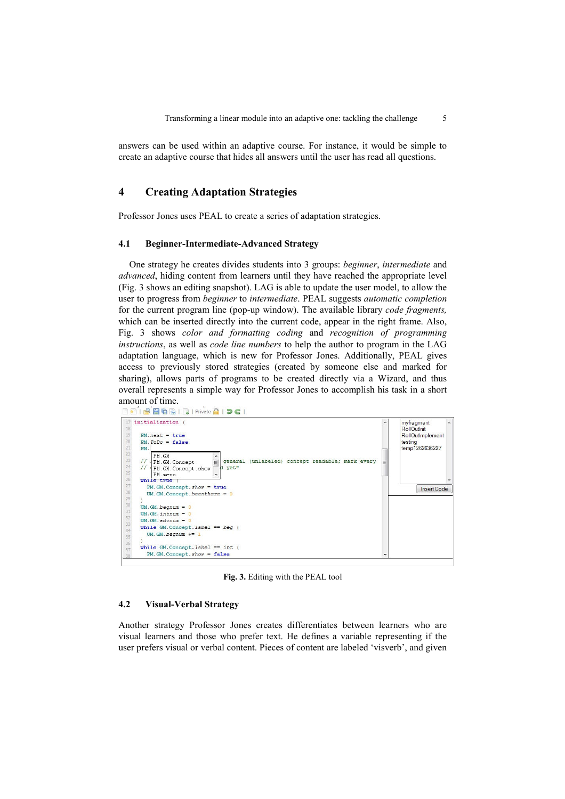answers can be used within an adaptive course. For instance, it would be simple to create an adaptive course that hides all answers until the user has read all questions.

### 4 Creating Adaptation Strategies

Professor Jones uses PEAL to create a series of adaptation strategies.

### 4.1 Beginner-Intermediate-Advanced Strategy

One strategy he creates divides students into 3 groups: beginner, intermediate and advanced, hiding content from learners until they have reached the appropriate level (Fig. 3 shows an editing snapshot). LAG is able to update the user model, to allow the user to progress from *beginner* to *intermediate*. PEAL suggests *automatic completion* for the current program line (pop-up window). The available library code fragments, which can be inserted directly into the current code, appear in the right frame. Also, Fig. 3 shows color and formatting coding and recognition of programming instructions, as well as code line numbers to help the author to program in the LAG adaptation language, which is new for Professor Jones. Additionally, PEAL gives access to previously stored strategies (created by someone else and marked for sharing), allows parts of programs to be created directly via a Wizard, and thus overall represents a simple way for Professor Jones to accomplish his task in a short



Fig. 3. Editing with the PEAL tool

#### 4.2 Visual-Verbal Strategy

Another strategy Professor Jones creates differentiates between learners who are visual learners and those who prefer text. He defines a variable representing if the user prefers visual or verbal content. Pieces of content are labeled 'visverb', and given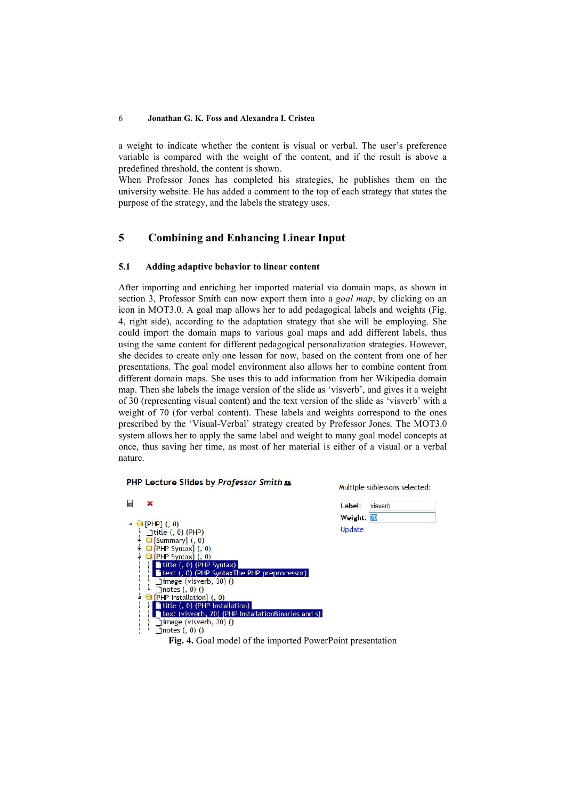a weight to indicate whether the content is visual or verbal. The user's preference variable is compared with the weight of the content, and if the result is above a predefined threshold, the content is shown.

When Professor Jones has completed his strategies, he publishes them on the university website. He has added a comment to the top of each strategy that states the purpose of the strategy, and the labels the strategy uses.

### 5 Combining and Enhancing Linear Input

#### 5.1 Adding adaptive behavior to linear content

After importing and enriching her imported material via domain maps, as shown in section 3, Professor Smith can now export them into a *goal map*, by clicking on an icon in MOT3.0. A goal map allows her to add pedagogical labels and weights (Fig. 4, right side), according to the adaptation strategy that she will be employing. She could import the domain maps to various goal maps and add different labels, thus using the same content for different pedagogical personalization strategies. However, she decides to create only one lesson for now, based on the content from one of her presentations. The goal model environment also allows her to combine content from different domain maps. She uses this to add information from her Wikipedia domain map. Then she labels the image version of the slide as 'visverb', and gives it a weight of 30 (representing visual content) and the text version of the slide as 'visverb' with a weight of 70 (for verbal content). These labels and weights correspond to the ones prescribed by the 'Visual-Verbal' strategy created by Professor Jones. The MOT3.0 system allows her to apply the same label and weight to many goal model concepts at once, thus saving her time, as most of her material is either of a visual or a verbal nature.

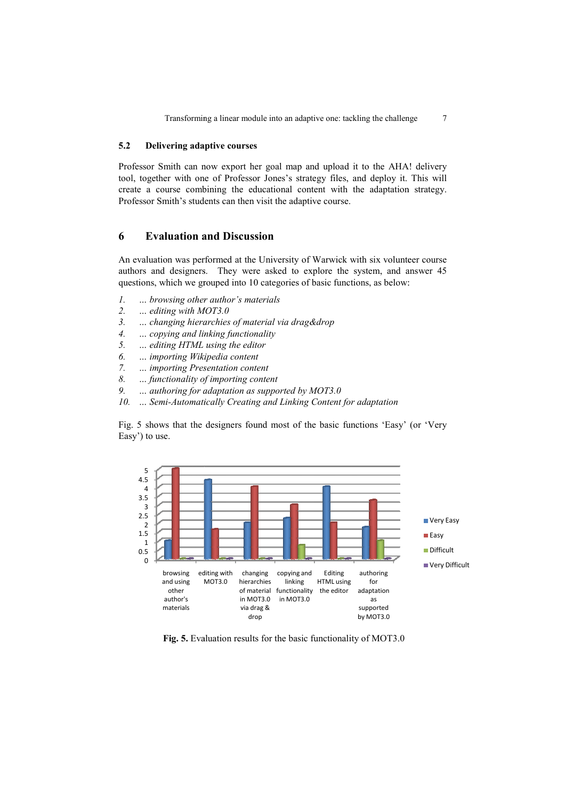Transforming a linear module into an adaptive one: tackling the challenge 7

#### 5.2 Delivering adaptive courses

Professor Smith can now export her goal map and upload it to the AHA! delivery tool, together with one of Professor Jones's strategy files, and deploy it. This will create a course combining the educational content with the adaptation strategy. Professor Smith's students can then visit the adaptive course.

### 6 Evaluation and Discussion

An evaluation was performed at the University of Warwick with six volunteer course authors and designers. They were asked to explore the system, and answer 45 questions, which we grouped into 10 categories of basic functions, as below:

- 1. … browsing other author's materials
- 2. … editing with MOT3.0
- 1. ... browsing other author's materials<br>2. ... editing with MOT3.0<br>3. ... changing hierarchies of material via drag&drop
- 4. … copying and linking functionality 4. … copying and linking functionality<br>5. … editing HTML using the editor<br>6. … importing Wikipedia content<br>7. … importing Presentation content<br>8. … functionality of importing content
- 5. … editing HTML using the editor
- 6. … importing Wikipedia content
- 7. … importing Presentation content
- 
- 9. .. authoring for adaptation as supported by MOT3.0
- 10. ... Semi-Automatically Creating and Linking Content for adaptation

Fig. 5 shows that the designers found most of the basic functions 'Easy' (or ' Easy') to use. :<br>box:<br>asy' (or 'Very



Fig. 5. Evaluation results for the basic functionality of MOT3.0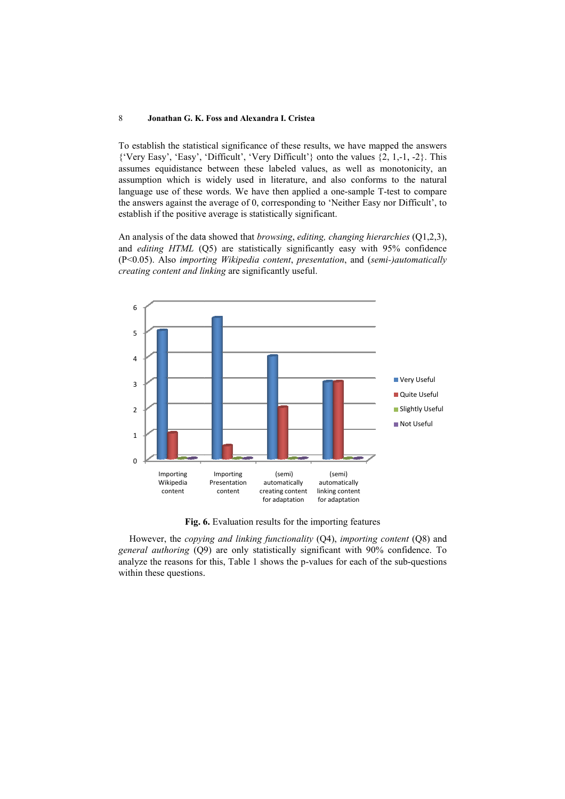To establish the statistical significance of these results, we have mapped the answers {'Very Easy', 'Easy', 'Difficult', 'Very Difficult'} onto the values {2, 1,-1, 1, -2}. This assumes equidistance between these labeled values, as well as monotonicity, an assumption which is widely used in literature, and also conforms to the natural language use of these words. We have then applied a one-sample T-test to compare the answers against the average of 0, corresponding to 'Neither Easy nor Difficult', to establish if the positive average is statistically significant. test to compare<br>tor Difficult', to<br>*rchies* (Q1,2,3),

An analysis of the data showed that browsing, editing, changing hierarchies and editing HTML (Q5) are statistically significantly easy with 95% confidence (P<0.05). Also importing Wikipedia content, presentation, and (semi-)automatically creating content and linking are significantly useful.



Fig. 6 6. Evaluation results for the importing features

However, the *copying and linking functionality*  $(Q4)$ , *importing content*  $(Q8)$  and general authoring (Q9) are only statistically significant with 90% confidence. To analyze the reasons for this, Table 1 shows the p-values for each of the sub-questions within these questions.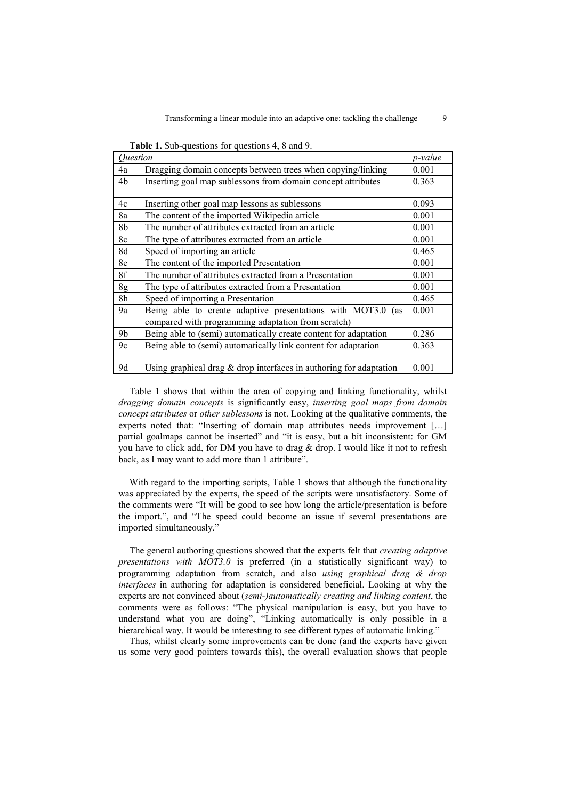| Question       |                                                                                                                   | p-value |
|----------------|-------------------------------------------------------------------------------------------------------------------|---------|
| 4a             | Dragging domain concepts between trees when copying/linking                                                       | 0.001   |
| 4b             | Inserting goal map sublessons from domain concept attributes                                                      | 0.363   |
| 4c             | Inserting other goal map lessons as sublessons                                                                    | 0.093   |
| 8a             | The content of the imported Wikipedia article                                                                     | 0.001   |
| 8b             | The number of attributes extracted from an article                                                                | 0.001   |
| 8c             | The type of attributes extracted from an article                                                                  | 0.001   |
| 8d             | Speed of importing an article                                                                                     | 0.465   |
| 8e             | The content of the imported Presentation                                                                          | 0.001   |
| 8f             | The number of attributes extracted from a Presentation                                                            | 0.001   |
| 8g             | The type of attributes extracted from a Presentation                                                              | 0.001   |
| 8h             | Speed of importing a Presentation                                                                                 | 0.465   |
| 9a             | Being able to create adaptive presentations with MOT3.0 (as<br>compared with programming adaptation from scratch) | 0.001   |
| 9 <sub>b</sub> | Being able to (semi) automatically create content for adaptation                                                  | 0.286   |
| 9c             | Being able to (semi) automatically link content for adaptation                                                    | 0.363   |
| 9d             | Using graphical drag $\&$ drop interfaces in authoring for adaptation                                             | 0.001   |

Table 1. Sub-questions for questions 4, 8 and 9.

Table 1 shows that within the area of copying and linking functionality, whilst dragging domain concepts is significantly easy, inserting goal maps from domain concept attributes or other sublessons is not. Looking at the qualitative comments, the experts noted that: "Inserting of domain map attributes needs improvement […] partial goalmaps cannot be inserted" and "it is easy, but a bit inconsistent: for GM you have to click add, for DM you have to drag  $&$  drop. I would like it not to refresh back, as I may want to add more than 1 attribute".

With regard to the importing scripts, Table 1 shows that although the functionality was appreciated by the experts, the speed of the scripts were unsatisfactory. Some of the comments were "It will be good to see how long the article/presentation is before the import.", and "The speed could become an issue if several presentations are imported simultaneously."

The general authoring questions showed that the experts felt that creating adaptive presentations with MOT3.0 is preferred (in a statistically significant way) to programming adaptation from scratch, and also using graphical drag & drop interfaces in authoring for adaptation is considered beneficial. Looking at why the experts are not convinced about (semi-)automatically creating and linking content, the comments were as follows: "The physical manipulation is easy, but you have to understand what you are doing", "Linking automatically is only possible in a hierarchical way. It would be interesting to see different types of automatic linking."

Thus, whilst clearly some improvements can be done (and the experts have given us some very good pointers towards this), the overall evaluation shows that people